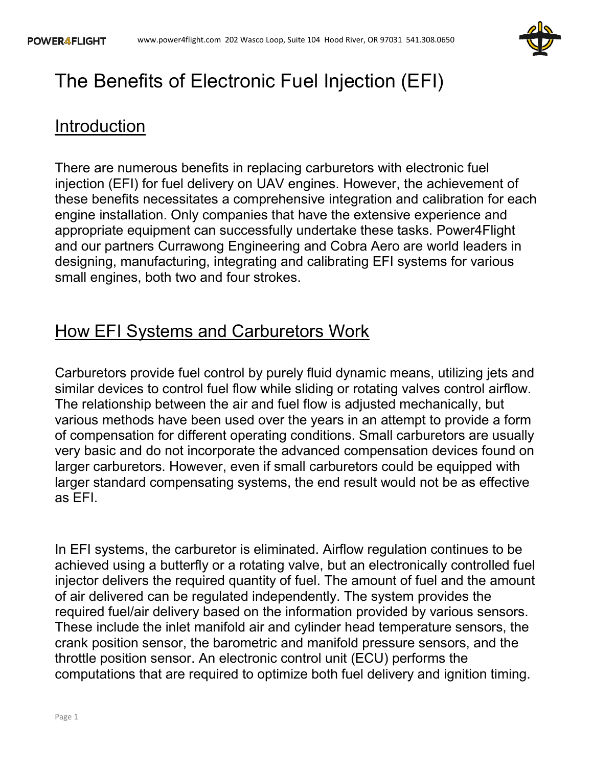

# The Benefits of Electronic Fuel Injection (EFI)

#### Introduction

There are numerous benefits in replacing carburetors with electronic fuel injection (EFI) for fuel delivery on UAV engines. However, the achievement of these benefits necessitates a comprehensive integration and calibration for each engine installation. Only companies that have the extensive experience and appropriate equipment can successfully undertake these tasks. Power4Flight and our partners Currawong Engineering and Cobra Aero are world leaders in designing, manufacturing, integrating and calibrating EFI systems for various small engines, both two and four strokes.

### How EFI Systems and Carburetors Work

Carburetors provide fuel control by purely fluid dynamic means, utilizing jets and similar devices to control fuel flow while sliding or rotating valves control airflow. The relationship between the air and fuel flow is adjusted mechanically, but various methods have been used over the years in an attempt to provide a form of compensation for different operating conditions. Small carburetors are usually very basic and do not incorporate the advanced compensation devices found on larger carburetors. However, even if small carburetors could be equipped with larger standard compensating systems, the end result would not be as effective as EFI.

In EFI systems, the carburetor is eliminated. Airflow regulation continues to be achieved using a butterfly or a rotating valve, but an electronically controlled fuel injector delivers the required quantity of fuel. The amount of fuel and the amount of air delivered can be regulated independently. The system provides the required fuel/air delivery based on the information provided by various sensors. These include the inlet manifold air and cylinder head temperature sensors, the crank position sensor, the barometric and manifold pressure sensors, and the throttle position sensor. An electronic control unit (ECU) performs the computations that are required to optimize both fuel delivery and ignition timing.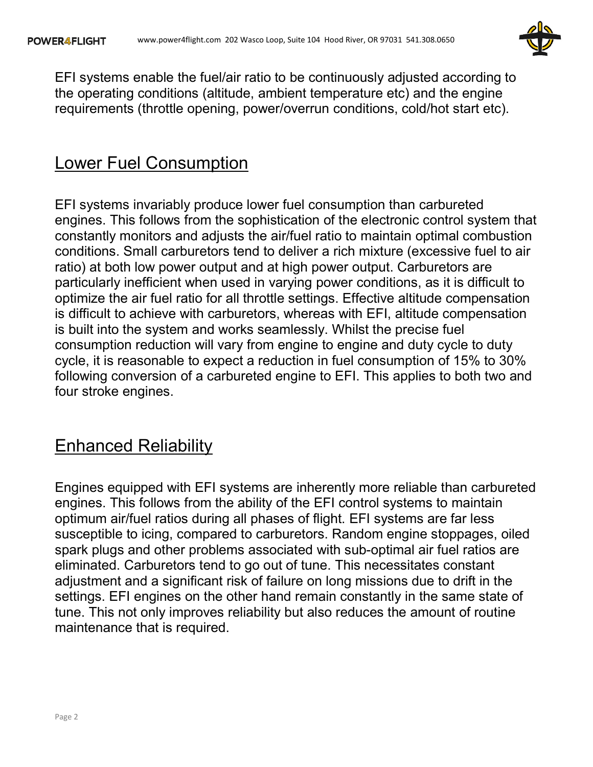

EFI systems enable the fuel/air ratio to be continuously adjusted according to the operating conditions (altitude, ambient temperature etc) and the engine requirements (throttle opening, power/overrun conditions, cold/hot start etc).

#### Lower Fuel Consumption

EFI systems invariably produce lower fuel consumption than carbureted engines. This follows from the sophistication of the electronic control system that constantly monitors and adjusts the air/fuel ratio to maintain optimal combustion conditions. Small carburetors tend to deliver a rich mixture (excessive fuel to air ratio) at both low power output and at high power output. Carburetors are particularly inefficient when used in varying power conditions, as it is difficult to optimize the air fuel ratio for all throttle settings. Effective altitude compensation is difficult to achieve with carburetors, whereas with EFI, altitude compensation is built into the system and works seamlessly. Whilst the precise fuel consumption reduction will vary from engine to engine and duty cycle to duty cycle, it is reasonable to expect a reduction in fuel consumption of 15% to 30% following conversion of a carbureted engine to EFI. This applies to both two and four stroke engines.

### Enhanced Reliability

Engines equipped with EFI systems are inherently more reliable than carbureted engines. This follows from the ability of the EFI control systems to maintain optimum air/fuel ratios during all phases of flight. EFI systems are far less susceptible to icing, compared to carburetors. Random engine stoppages, oiled spark plugs and other problems associated with sub-optimal air fuel ratios are eliminated. Carburetors tend to go out of tune. This necessitates constant adjustment and a significant risk of failure on long missions due to drift in the settings. EFI engines on the other hand remain constantly in the same state of tune. This not only improves reliability but also reduces the amount of routine maintenance that is required.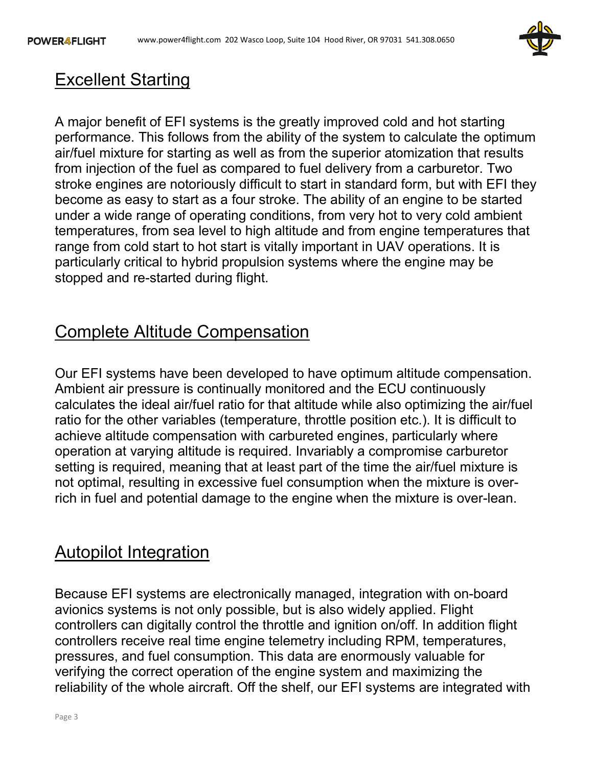

## Excellent Starting

A major benefit of EFI systems is the greatly improved cold and hot starting performance. This follows from the ability of the system to calculate the optimum air/fuel mixture for starting as well as from the superior atomization that results from injection of the fuel as compared to fuel delivery from a carburetor. Two stroke engines are notoriously difficult to start in standard form, but with EFI they become as easy to start as a four stroke. The ability of an engine to be started under a wide range of operating conditions, from very hot to very cold ambient temperatures, from sea level to high altitude and from engine temperatures that range from cold start to hot start is vitally important in UAV operations. It is particularly critical to hybrid propulsion systems where the engine may be stopped and re-started during flight.

## Complete Altitude Compensation

Our EFI systems have been developed to have optimum altitude compensation. Ambient air pressure is continually monitored and the ECU continuously calculates the ideal air/fuel ratio for that altitude while also optimizing the air/fuel ratio for the other variables (temperature, throttle position etc.). It is difficult to achieve altitude compensation with carbureted engines, particularly where operation at varying altitude is required. Invariably a compromise carburetor setting is required, meaning that at least part of the time the air/fuel mixture is not optimal, resulting in excessive fuel consumption when the mixture is overrich in fuel and potential damage to the engine when the mixture is over-lean.

### Autopilot Integration

Because EFI systems are electronically managed, integration with on-board avionics systems is not only possible, but is also widely applied. Flight controllers can digitally control the throttle and ignition on/off. In addition flight controllers receive real time engine telemetry including RPM, temperatures, pressures, and fuel consumption. This data are enormously valuable for verifying the correct operation of the engine system and maximizing the reliability of the whole aircraft. Off the shelf, our EFI systems are integrated with